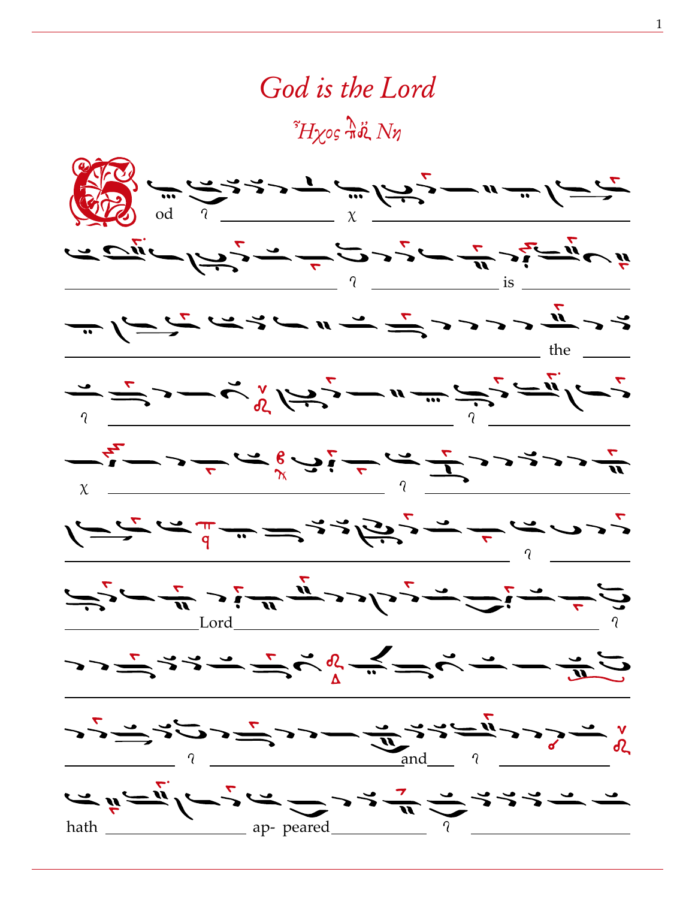## God is the Lord

 $\tilde{H}$ yos  $\Lambda$ ä Nn

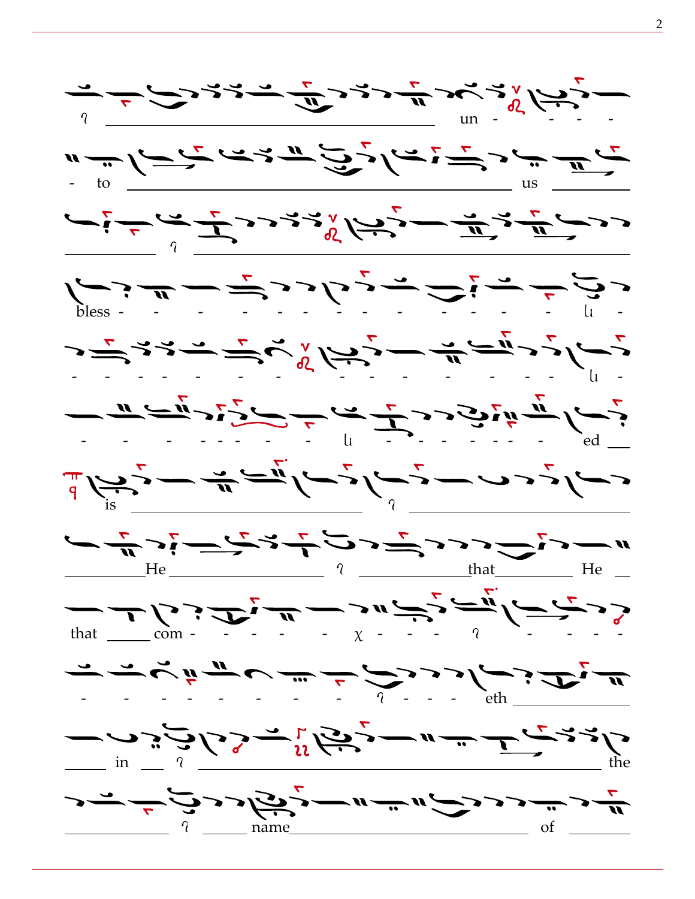![](_page_1_Figure_0.jpeg)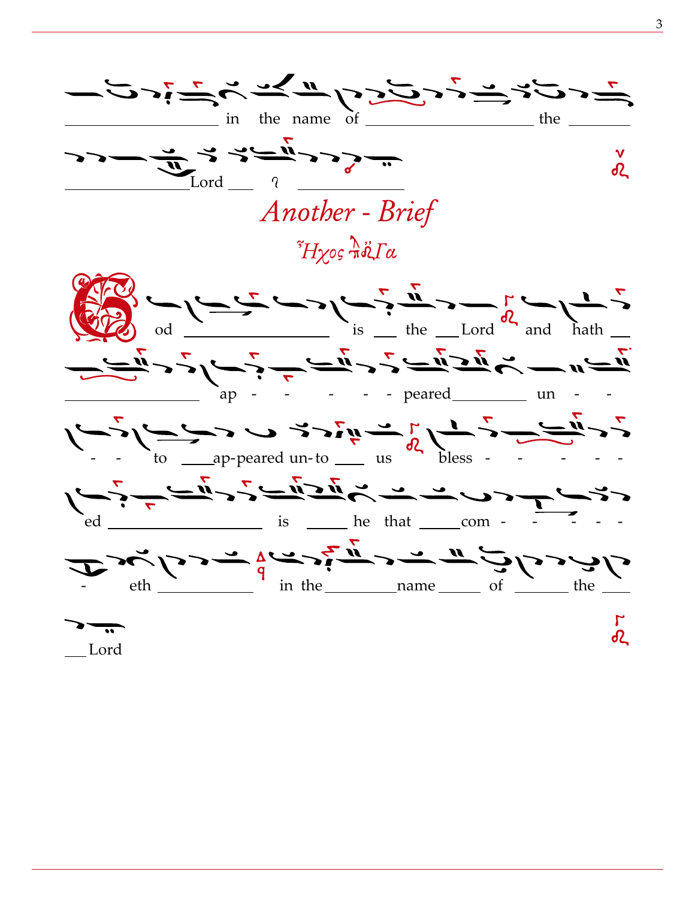![](_page_2_Figure_0.jpeg)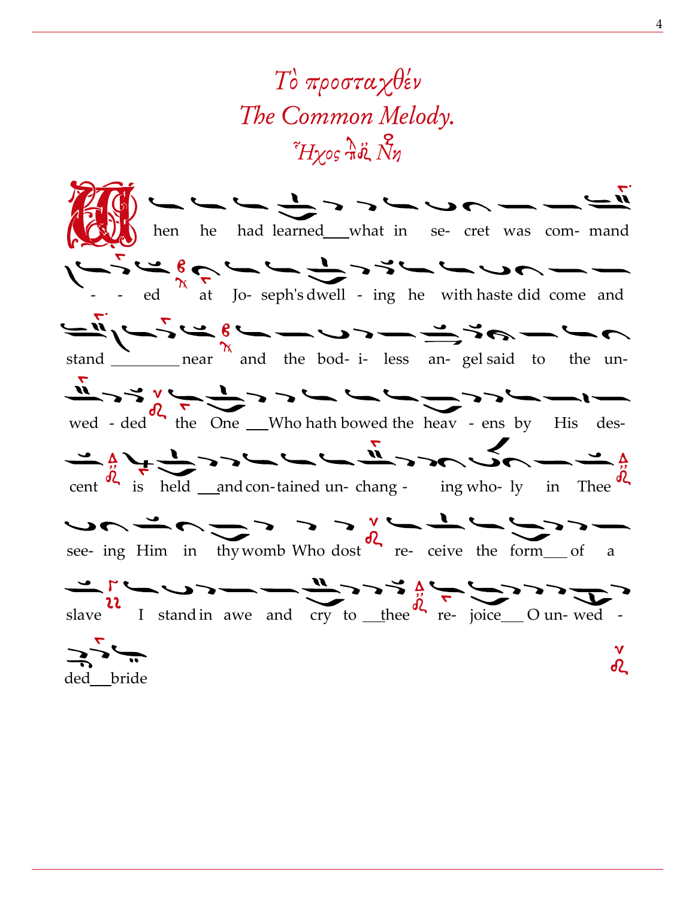## Το προσταγθέν The Common Melody.  $\tilde{H}$ yos  $\tilde{\pi}$ ổ<br/> $\chi$ Nn

![](_page_3_Picture_1.jpeg)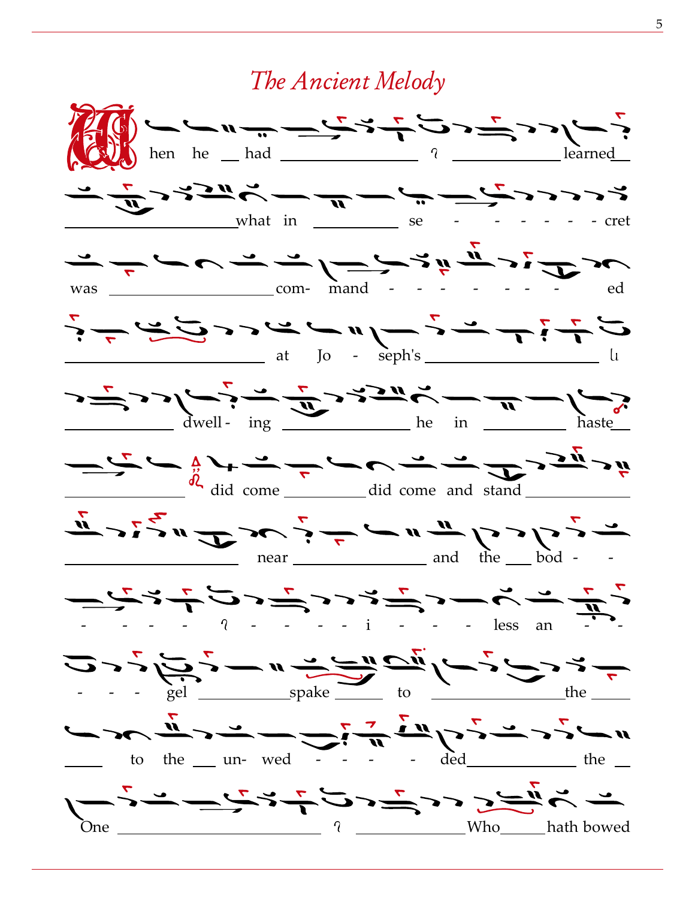## The Ancient Melody

![](_page_4_Figure_1.jpeg)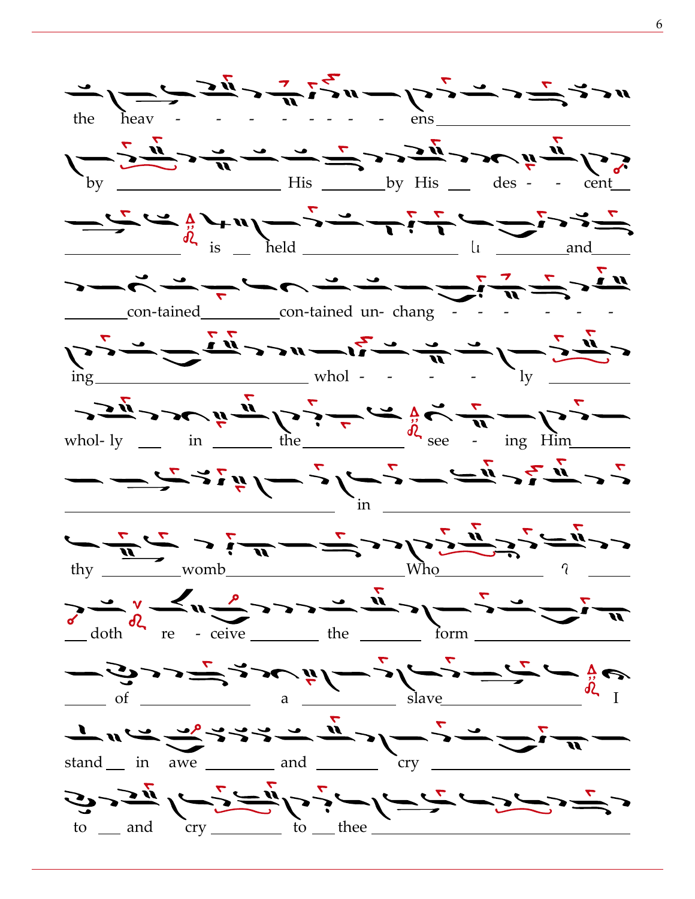![](_page_5_Figure_0.jpeg)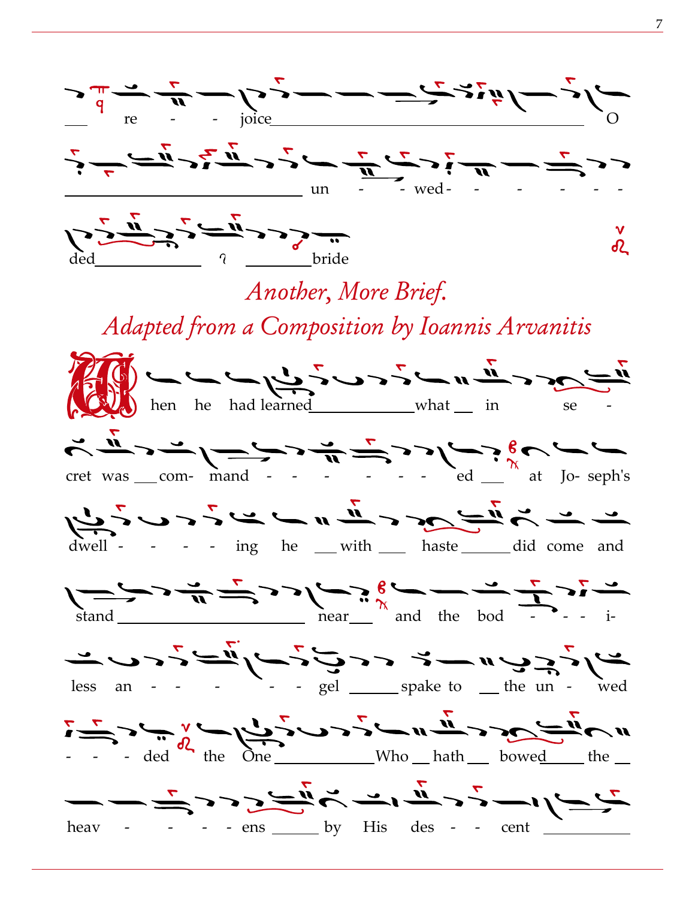![](_page_6_Figure_0.jpeg)